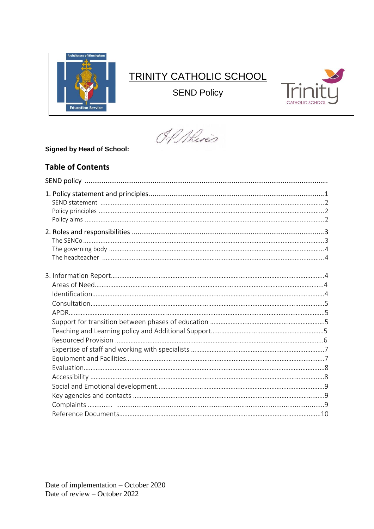

# **TRINITY CATHOLIC SCHOOL**

**SEND Policy** 



O.P. Alires

# **Signed by Head of School:**

# **Table of Contents**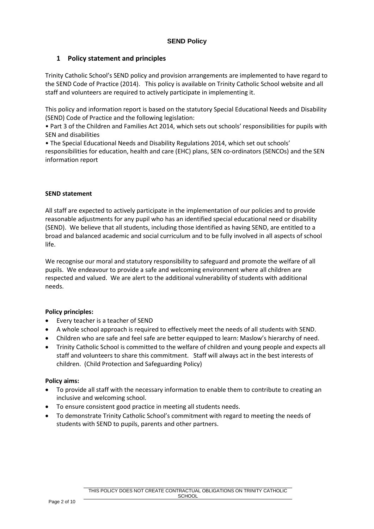# **1 Policy statement and principles**

Trinity Catholic School's SEND policy and provision arrangements are implemented to have regard to the SEND Code of Practice (2014). This policy is available on Trinity Catholic School website and all staff and volunteers are required to actively participate in implementing it.

This policy and information report is based on the statutory Special Educational Needs and Disability (SEND) Code of Practice and the following legislation:

• Part 3 of the Children and Families Act 2014, which sets out schools' responsibilities for pupils with SEN and disabilities

• The Special Educational Needs and Disability Regulations 2014, which set out schools' responsibilities for education, health and care (EHC) plans, SEN co-ordinators (SENCOs) and the SEN information report

#### **SEND statement**

All staff are expected to actively participate in the implementation of our policies and to provide reasonable adjustments for any pupil who has an identified special educational need or disability (SEND). We believe that all students, including those identified as having SEND, are entitled to a broad and balanced academic and social curriculum and to be fully involved in all aspects of school life.

We recognise our moral and statutory responsibility to safeguard and promote the welfare of all pupils. We endeavour to provide a safe and welcoming environment where all children are respected and valued. We are alert to the additional vulnerability of students with additional needs.

#### **Policy principles:**

- Every teacher is a teacher of SEND
- A whole school approach is required to effectively meet the needs of all students with SEND.
- Children who are safe and feel safe are better equipped to learn: Maslow's hierarchy of need.
- Trinity Catholic School is committed to the welfare of children and young people and expects all staff and volunteers to share this commitment. Staff will always act in the best interests of children. (Child Protection and Safeguarding Policy)

#### **Policy aims:**

- To provide all staff with the necessary information to enable them to contribute to creating an inclusive and welcoming school.
- To ensure consistent good practice in meeting all students needs.
- To demonstrate Trinity Catholic School's commitment with regard to meeting the needs of students with SEND to pupils, parents and other partners.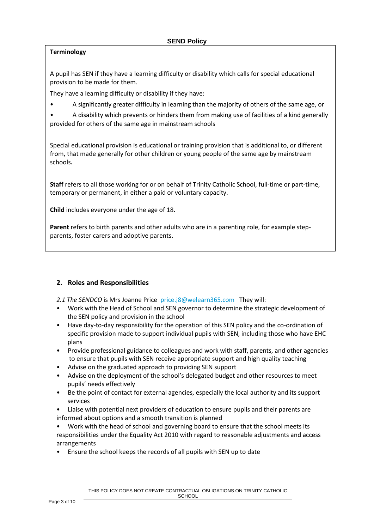# **Terminology**

A pupil has SEN if they have a learning difficulty or disability which calls for special educational provision to be made for them.

They have a learning difficulty or disability if they have:

• A significantly greater difficulty in learning than the majority of others of the same age, or

• A disability which prevents or hinders them from making use of facilities of a kind generally provided for others of the same age in mainstream schools

Special educational provision is educational or training provision that is additional to, or different from, that made generally for other children or young people of the same age by mainstream schools**.**

**Staff** refers to all those working for or on behalf of Trinity Catholic School, full-time or part-time, temporary or permanent, in either a paid or voluntary capacity.

**Child** includes everyone under the age of 18.

**Parent** refers to birth parents and other adults who are in a parenting role, for example stepparents, foster carers and adoptive parents.

# **2. Roles and Responsibilities**

2.1 The SENDCO is Mrs Joanne Price [price.j8@welearn365.com](mailto:price.j8@welearn365.com) They will:

- Work with the Head of School and SEN governor to determine the strategic development of the SEN policy and provision in the school
- Have day-to-day responsibility for the operation of this SEN policy and the co-ordination of specific provision made to support individual pupils with SEN, including those who have EHC plans
- Provide professional guidance to colleagues and work with staff, parents, and other agencies to ensure that pupils with SEN receive appropriate support and high quality teaching
- Advise on the graduated approach to providing SEN support
- Advise on the deployment of the school's delegated budget and other resources to meet pupils' needs effectively
- Be the point of contact for external agencies, especially the local authority and its support services
- Liaise with potential next providers of education to ensure pupils and their parents are informed about options and a smooth transition is planned
- Work with the head of school and governing board to ensure that the school meets its responsibilities under the Equality Act 2010 with regard to reasonable adjustments and access arrangements
- Ensure the school keeps the records of all pupils with SEN up to date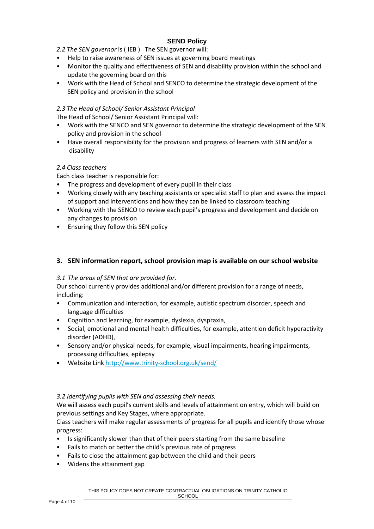*2.2 The SEN governor* is ( IEB ) The SEN governor will:

- Help to raise awareness of SEN issues at governing board meetings
- Monitor the quality and effectiveness of SEN and disability provision within the school and update the governing board on this
- Work with the Head of School and SENCO to determine the strategic development of the SEN policy and provision in the school

# *2.3 The Head of School/ Senior Assistant Principal*

The Head of School/ Senior Assistant Principal will:

- Work with the SENCO and SEN governor to determine the strategic development of the SEN policy and provision in the school
- Have overall responsibility for the provision and progress of learners with SEN and/or a disability

# *2.4 Class teachers*

Each class teacher is responsible for:

- The progress and development of every pupil in their class
- Working closely with any teaching assistants or specialist staff to plan and assess the impact of support and interventions and how they can be linked to classroom teaching
- Working with the SENCO to review each pupil's progress and development and decide on any changes to provision
- Ensuring they follow this SEN policy

# **3. SEN information report, school provision map is available on our school website**

#### *3.1 The areas of SEN that are provided for.*

Our school currently provides additional and/or different provision for a range of needs, including:

- Communication and interaction, for example, autistic spectrum disorder, speech and language difficulties
- Cognition and learning, for example, dyslexia, dyspraxia,
- Social, emotional and mental health difficulties, for example, attention deficit hyperactivity disorder (ADHD),
- Sensory and/or physical needs, for example, visual impairments, hearing impairments, processing difficulties, epilepsy
- Website Link<http://www.trinity-school.org.uk/send/>

#### *3.2 Identifying pupils with SEN and assessing their needs.*

We will assess each pupil's current skills and levels of attainment on entry, which will build on previous settings and Key Stages, where appropriate.

Class teachers will make regular assessments of progress for all pupils and identify those whose progress:

- Is significantly slower than that of their peers starting from the same baseline
- Fails to match or better the child's previous rate of progress
- Fails to close the attainment gap between the child and their peers
- Widens the attainment gap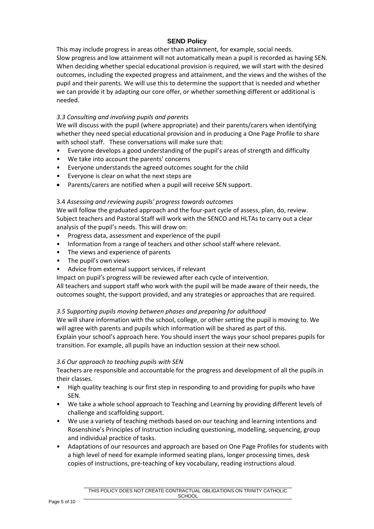This may include progress in areas other than attainment, for example, social needs. Slow progress and low attainment will not automatically mean a pupil is recorded as having SEN. When deciding whether special educational provision is required, we will start with the desired outcomes, including the expected progress and attainment, and the views and the wishes of the pupil and their parents. We will use this to determine the support that is needed and whether we can provide it by adapting our core offer, or whether something different or additional is needed.

# *3.3 Consulting and involving pupils and parents*

We will discuss with the pupil (where appropriate) and their parents/carers when identifying whether they need special educational provision and in producing a One Page Profile to share with school staff. These conversations will make sure that:

- Everyone develops a good understanding of the pupil's areas of strength and difficulty
- We take into account the parents' concerns
- Everyone understands the agreed outcomes sought for the child
- Everyone is clear on what the next steps are
- Parents/carers are notified when a pupil will receive SEN support.

#### 3.4 *Assessing and reviewing pupils' progress towards outcomes*

We will follow the graduated approach and the four-part cycle of assess, plan, do, review. Subject teachers and Pastoral Staff will work with the SENCO and HLTAs to carry out a clear analysis of the pupil's needs. This will draw on:

- Progress data, assessment and experience of the pupil
- Information from a range of teachers and other school staff where relevant.
- The views and experience of parents
- The pupil's own views
- Advice from external support services, if relevant

Impact on pupil's progress will be reviewed after each cycle of intervention.

All teachers and support staff who work with the pupil will be made aware of their needs, the outcomes sought, the support provided, and any strategies or approaches that are required.

#### *3.5 Supporting pupils moving between phases and preparing for adulthood*

We will share information with the school, college, or other setting the pupil is moving to. We will agree with parents and pupils which information will be shared as part of this.

Explain your school's approach here. You should insert the ways your school prepares pupils for transition. For example, all pupils have an induction session at their new school.

#### *3.6 Our approach to teaching pupils with SEN*

Teachers are responsible and accountable for the progress and development of all the pupils in their classes.

- High quality teaching is our first step in responding to and providing for pupils who have SEN.
- We take a whole school approach to Teaching and Learning by providing different levels of challenge and scaffolding support.
- We use a variety of teaching methods based on our teaching and learning intentions and Rosenshine's Principles of Instruction including questioning, modelling, sequencing, group and individual practice of tasks.
- Adaptations of our resources and approach are based on One Page Profiles for students with a high level of need for example informed seating plans, longer processing times, desk copies of instructions, pre-teaching of key vocabulary, reading instructions aloud.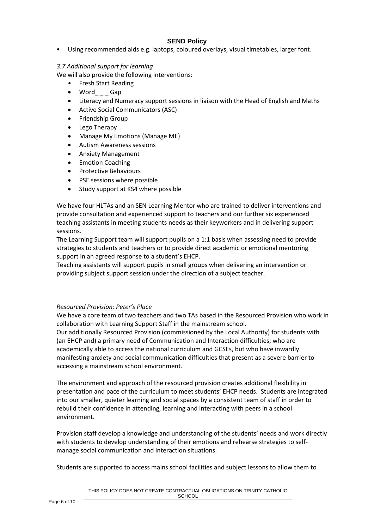• Using recommended aids e.g. laptops, coloured overlays, visual timetables, larger font.

*3.7 Additional support for learning* 

We will also provide the following interventions:

- Fresh Start Reading
- Word\_\_\_Gap
- Literacy and Numeracy support sessions in liaison with the Head of English and Maths
- Active Social Communicators (ASC)
- Friendship Group
- Lego Therapy
- Manage My Emotions (Manage ME)
- Autism Awareness sessions
- Anxiety Management
- Emotion Coaching
- Protective Behaviours
- PSE sessions where possible
- Study support at KS4 where possible

We have four HLTAs and an SEN Learning Mentor who are trained to deliver interventions and provide consultation and experienced support to teachers and our further six experienced teaching assistants in meeting students needs as their keyworkers and in delivering support sessions.

The Learning Support team will support pupils on a 1:1 basis when assessing need to provide strategies to students and teachers or to provide direct academic or emotional mentoring support in an agreed response to a student's EHCP.

Teaching assistants will support pupils in small groups when delivering an intervention or providing subject support session under the direction of a subject teacher.

#### *Resourced Provision: Peter's Place*

We have a core team of two teachers and two TAs based in the Resourced Provision who work in collaboration with Learning Support Staff in the mainstream school.

Our additionally Resourced Provision (commissioned by the Local Authority) for students with (an EHCP and) a primary need of Communication and Interaction difficulties; who are academically able to access the national curriculum and GCSEs, but who have inwardly manifesting anxiety and social communication difficulties that present as a severe barrier to accessing a mainstream school environment.

The environment and approach of the resourced provision creates additional flexibility in presentation and pace of the curriculum to meet students' EHCP needs. Students are integrated into our smaller, quieter learning and social spaces by a consistent team of staff in order to rebuild their confidence in attending, learning and interacting with peers in a school environment.

Provision staff develop a knowledge and understanding of the students' needs and work directly with students to develop understanding of their emotions and rehearse strategies to selfmanage social communication and interaction situations.

Students are supported to access mains school facilities and subject lessons to allow them to

THIS POLICY DOES NOT CREATE CONTRACTUAL OBLIGATIONS ON TRINITY CATHOLIC **SCHOOL**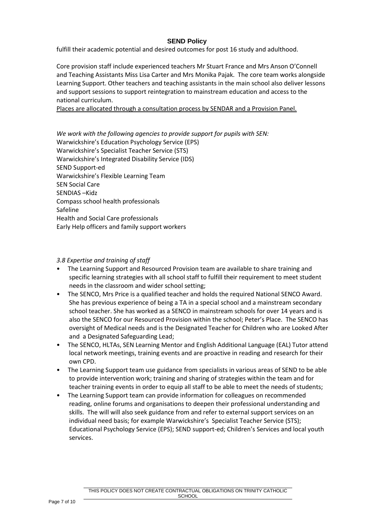fulfill their academic potential and desired outcomes for post 16 study and adulthood.

Core provision staff include experienced teachers Mr Stuart France and Mrs Anson O'Connell and Teaching Assistants Miss Lisa Carter and Mrs Monika Pajak. The core team works alongside Learning Support. Other teachers and teaching assistants in the main school also deliver lessons and support sessions to support reintegration to mainstream education and access to the national curriculum.

Places are allocated through a consultation process by SENDAR and a Provision Panel.

*We work with the following agencies to provide support for pupils with SEN:* Warwickshire's Education Psychology Service (EPS) Warwickshire's Specialist Teacher Service (STS) Warwickshire's Integrated Disability Service (IDS) SEND Support-ed Warwickshire's Flexible Learning Team SEN Social Care SENDIAS –Kidz Compass school health professionals Safeline Health and Social Care professionals Early Help officers and family support workers

#### *3.8 Expertise and training of staff*

- The Learning Support and Resourced Provision team are available to share training and specific learning strategies with all school staff to fulfill their requirement to meet student needs in the classroom and wider school setting;
- The SENCO, Mrs Price is a qualified teacher and holds the required National SENCO Award. She has previous experience of being a TA in a special school and a mainstream secondary school teacher. She has worked as a SENCO in mainstream schools for over 14 years and is also the SENCO for our Resourced Provision within the school; Peter's Place. The SENCO has oversight of Medical needs and is the Designated Teacher for Children who are Looked After and a Designated Safeguarding Lead;
- The SENCO, HLTAs, SEN Learning Mentor and English Additional Language (EAL) Tutor attend local network meetings, training events and are proactive in reading and research for their own CPD.
- The Learning Support team use guidance from specialists in various areas of SEND to be able to provide intervention work; training and sharing of strategies within the team and for teacher training events in order to equip all staff to be able to meet the needs of students;
- The Learning Support team can provide information for colleagues on recommended reading, online forums and organisations to deepen their professional understanding and skills. The will will also seek guidance from and refer to external support services on an individual need basis; for example Warwickshire's Specialist Teacher Service (STS); Educational Psychology Service (EPS); SEND support-ed; Children's Services and local youth services.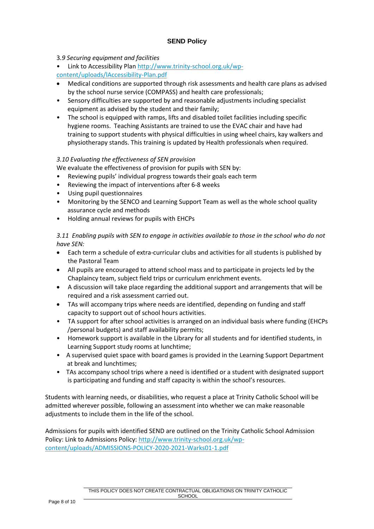# 3*.9 Securing equipment and facilities*

• Link to Accessibility Plan [http://www.trinity-school.org.uk/wp-](http://www.trinity-school.org.uk/wp-content/uploads/lAccessibility-Plan.pdf)

- [content/uploads/lAccessibility-Plan.pdf](http://www.trinity-school.org.uk/wp-content/uploads/lAccessibility-Plan.pdf)
- Medical conditions are supported through risk assessments and health care plans as advised by the school nurse service (COMPASS) and health care professionals;
- Sensory difficulties are supported by and reasonable adjustments including specialist equipment as advised by the student and their family;
- The school is equipped with ramps, lifts and disabled toilet facilities including specific hygiene rooms. Teaching Assistants are trained to use the EVAC chair and have had training to support students with physical difficulties in using wheel chairs, kay walkers and physiotherapy stands. This training is updated by Health professionals when required.

# *3.10 Evaluating the effectiveness of SEN provision*

We evaluate the effectiveness of provision for pupils with SEN by:

- Reviewing pupils' individual progress towards their goals each term
- Reviewing the impact of interventions after 6-8 weeks
- Using pupil questionnaires
- Monitoring by the SENCO and Learning Support Team as well as the whole school quality assurance cycle and methods
- Holding annual reviews for pupils with EHCPs

*3.11 Enabling pupils with SEN to engage in activities available to those in the school who do not have SEN:*

- Each term a schedule of extra-curricular clubs and activities for all students is published by the Pastoral Team
- All pupils are encouraged to attend school mass and to participate in projects led by the Chaplaincy team, subject field trips or curriculum enrichment events.
- A discussion will take place regarding the additional support and arrangements that will be required and a risk assessment carried out.
- TAs will accompany trips where needs are identified, depending on funding and staff capacity to support out of school hours activities.
- TA support for after school activities is arranged on an individual basis where funding (EHCPs /personal budgets) and staff availability permits;
- Homework support is available in the Library for all students and for identified students, in Learning Support study rooms at lunchtime;
- A supervised quiet space with board games is provided in the Learning Support Department at break and lunchtimes;
- TAs accompany school trips where a need is identified or a student with designated support is participating and funding and staff capacity is within the school's resources.

Students with learning needs, or disabilities, who request a place at Trinity Catholic School will be admitted wherever possible, following an assessment into whether we can make reasonable adjustments to include them in the life of the school.

Admissions for pupils with identified SEND are outlined on the Trinity Catholic School Admission Policy: Link to Admissions Policy[: http://www.trinity-school.org.uk/wp](http://www.trinity-school.org.uk/wp-content/uploads/ADMISSIONS-POLICY-2020-2021-Warks01-1.pdf)[content/uploads/ADMISSIONS-POLICY-2020-2021-Warks01-1.pdf](http://www.trinity-school.org.uk/wp-content/uploads/ADMISSIONS-POLICY-2020-2021-Warks01-1.pdf)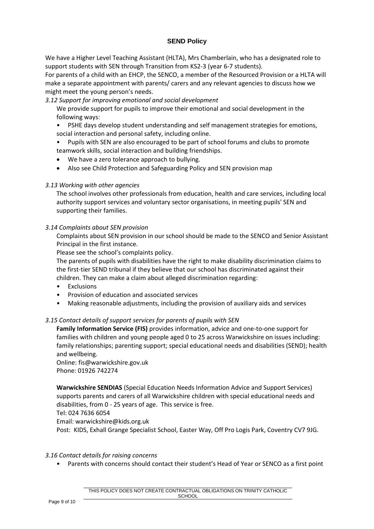We have a Higher Level Teaching Assistant (HLTA), Mrs Chamberlain, who has a designated role to support students with SEN through Transition from KS2-3 (year 6-7 students).

For parents of a child with an EHCP, the SENCO, a member of the Resourced Provision or a HLTA will make a separate appointment with parents/ carers and any relevant agencies to discuss how we might meet the young person's needs.

*3.12 Support for improving emotional and social development*

We provide support for pupils to improve their emotional and social development in the following ways:

• PSHE days develop student understanding and self management strategies for emotions, social interaction and personal safety, including online.

• Pupils with SEN are also encouraged to be part of school forums and clubs to promote teamwork skills, social interaction and building friendships.

- We have a zero tolerance approach to bullying.
- Also see Child Protection and Safeguarding Policy and SEN provision map

#### *3.13 Working with other agencies*

The school involves other professionals from education, health and care services, including local authority support services and voluntary sector organisations, in meeting pupils' SEN and supporting their families.

#### *3.14 Complaints about SEN provision*

Complaints about SEN provision in our school should be made to the SENCO and Senior Assistant Principal in the first instance.

Please see the school's complaints policy.

The parents of pupils with disabilities have the right to make disability discrimination claims to the first-tier SEND tribunal if they believe that our school has discriminated against their children. They can make a claim about alleged discrimination regarding:

- Exclusions
- Provision of education and associated services
- Making reasonable adjustments, including the provision of auxiliary aids and services

#### *3.15 Contact details of support services for parents of pupils with SEN*

**Family Information Service (FIS)** provides information, advice and one-to-one support for families with children and young people aged 0 to 25 across Warwickshire on issues including: family relationships; parenting support; special educational needs and disabilities (SEND); health and wellbeing.

Online: fis@warwickshire.gov.uk Phone: 01926 742274

**Warwickshire SENDIAS** (Special Education Needs Information Advice and Support Services) supports parents and carers of all Warwickshire children with special educational needs and disabilities, from 0 - 25 years of age. This service is free.

Tel: 024 7636 6054

Email: warwickshire@kids.org.uk

Post: KIDS, Exhall Grange Specialist School, Easter Way, Off Pro Logis Park, Coventry CV7 9JG.

#### *3.16 Contact details for raising concerns*

• Parents with concerns should contact their student's Head of Year or SENCO as a first point

THIS POLICY DOES NOT CREATE CONTRACTUAL OBLIGATIONS ON TRINITY CATHOLIC **SCHOOL**